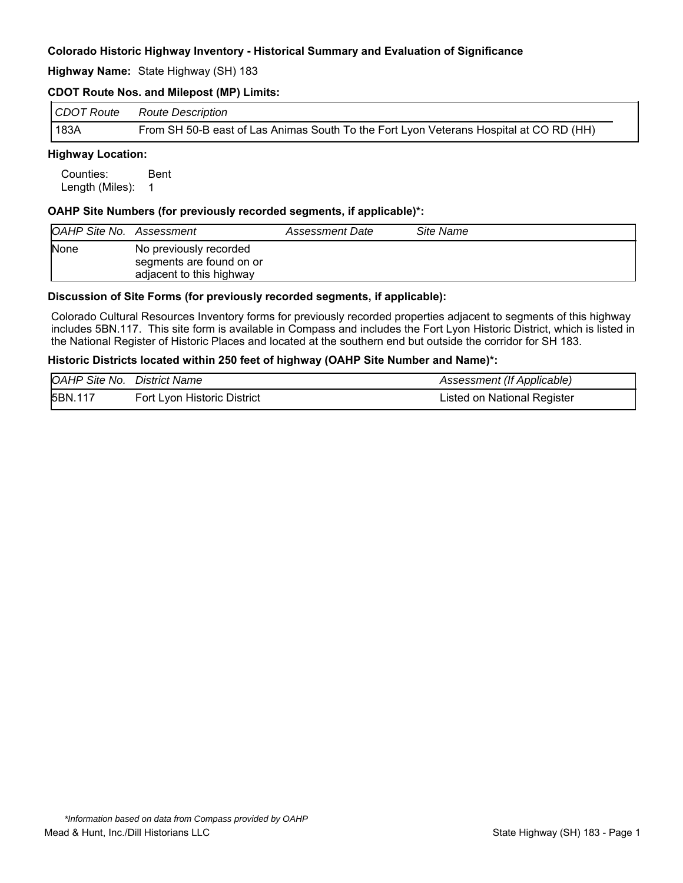#### **Highway Name:** State Highway (SH) 183

### **CDOT Route Nos. and Milepost (MP) Limits:**

| CDOT Route | Route Description                                                                      |
|------------|----------------------------------------------------------------------------------------|
| 183A       | From SH 50-B east of Las Animas South To the Fort Lyon Veterans Hospital at CO RD (HH) |

## **Highway Location:**

Counties: Bent Length (Miles): 1

#### **OAHP Site Numbers (for previously recorded segments, if applicable)\*:**

| <b>OAHP Site No. Assessment</b> |                                                                                | Assessment Date | Site Name |
|---------------------------------|--------------------------------------------------------------------------------|-----------------|-----------|
| <b>None</b>                     | No previously recorded<br>segments are found on or<br>adjacent to this highway |                 |           |

#### **Discussion of Site Forms (for previously recorded segments, if applicable):**

Colorado Cultural Resources Inventory forms for previously recorded properties adjacent to segments of this highway includes 5BN.117. This site form is available in Compass and includes the Fort Lyon Historic District, which is listed in the National Register of Historic Places and located at the southern end but outside the corridor for SH 183.

#### **Historic Districts located within 250 feet of highway (OAHP Site Number and Name)\*:**

| <b>OAHP Site No. District Name</b> |                             | Assessment (If Applicable)  |
|------------------------------------|-----------------------------|-----------------------------|
| 5BN.117                            | Fort Lyon Historic District | Listed on National Register |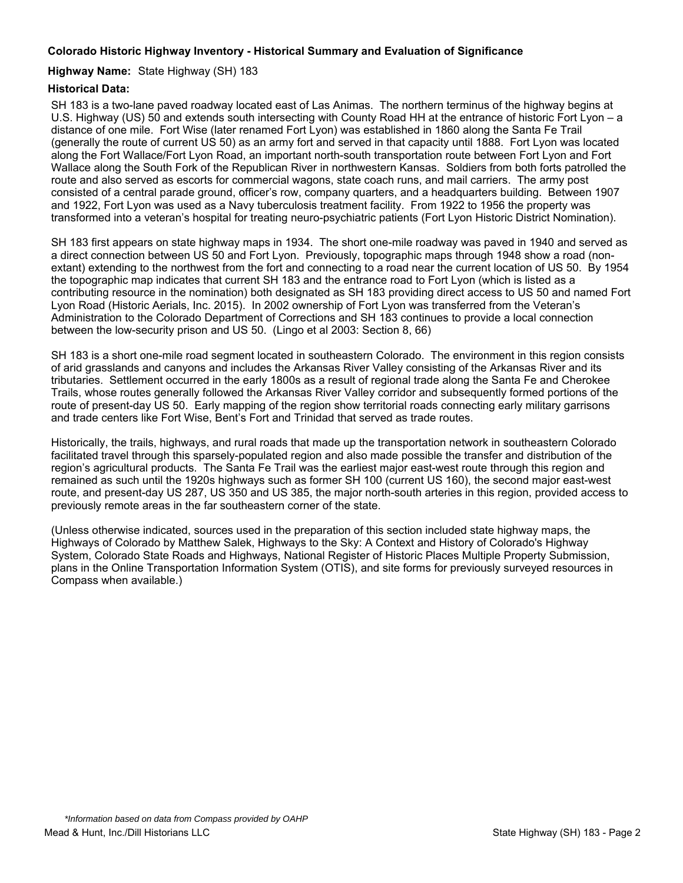## **Highway Name:** State Highway (SH) 183

## **Historical Data:**

SH 183 is a two-lane paved roadway located east of Las Animas. The northern terminus of the highway begins at U.S. Highway (US) 50 and extends south intersecting with County Road HH at the entrance of historic Fort Lyon – a distance of one mile. Fort Wise (later renamed Fort Lyon) was established in 1860 along the Santa Fe Trail (generally the route of current US 50) as an army fort and served in that capacity until 1888. Fort Lyon was located along the Fort Wallace/Fort Lyon Road, an important north-south transportation route between Fort Lyon and Fort Wallace along the South Fork of the Republican River in northwestern Kansas. Soldiers from both forts patrolled the route and also served as escorts for commercial wagons, state coach runs, and mail carriers. The army post consisted of a central parade ground, officer's row, company quarters, and a headquarters building. Between 1907 and 1922, Fort Lyon was used as a Navy tuberculosis treatment facility. From 1922 to 1956 the property was transformed into a veteran's hospital for treating neuro-psychiatric patients (Fort Lyon Historic District Nomination).

SH 183 first appears on state highway maps in 1934. The short one-mile roadway was paved in 1940 and served as a direct connection between US 50 and Fort Lyon. Previously, topographic maps through 1948 show a road (nonextant) extending to the northwest from the fort and connecting to a road near the current location of US 50. By 1954 the topographic map indicates that current SH 183 and the entrance road to Fort Lyon (which is listed as a contributing resource in the nomination) both designated as SH 183 providing direct access to US 50 and named Fort Lyon Road (Historic Aerials, Inc. 2015). In 2002 ownership of Fort Lyon was transferred from the Veteran's Administration to the Colorado Department of Corrections and SH 183 continues to provide a local connection between the low-security prison and US 50. (Lingo et al 2003: Section 8, 66)

SH 183 is a short one-mile road segment located in southeastern Colorado. The environment in this region consists of arid grasslands and canyons and includes the Arkansas River Valley consisting of the Arkansas River and its tributaries. Settlement occurred in the early 1800s as a result of regional trade along the Santa Fe and Cherokee Trails, whose routes generally followed the Arkansas River Valley corridor and subsequently formed portions of the route of present-day US 50. Early mapping of the region show territorial roads connecting early military garrisons and trade centers like Fort Wise, Bent's Fort and Trinidad that served as trade routes.

Historically, the trails, highways, and rural roads that made up the transportation network in southeastern Colorado facilitated travel through this sparsely-populated region and also made possible the transfer and distribution of the region's agricultural products. The Santa Fe Trail was the earliest major east-west route through this region and remained as such until the 1920s highways such as former SH 100 (current US 160), the second major east-west route, and present-day US 287, US 350 and US 385, the major north-south arteries in this region, provided access to previously remote areas in the far southeastern corner of the state.

(Unless otherwise indicated, sources used in the preparation of this section included state highway maps, the Highways of Colorado by Matthew Salek, Highways to the Sky: A Context and History of Colorado's Highway System, Colorado State Roads and Highways, National Register of Historic Places Multiple Property Submission, plans in the Online Transportation Information System (OTIS), and site forms for previously surveyed resources in Compass when available.)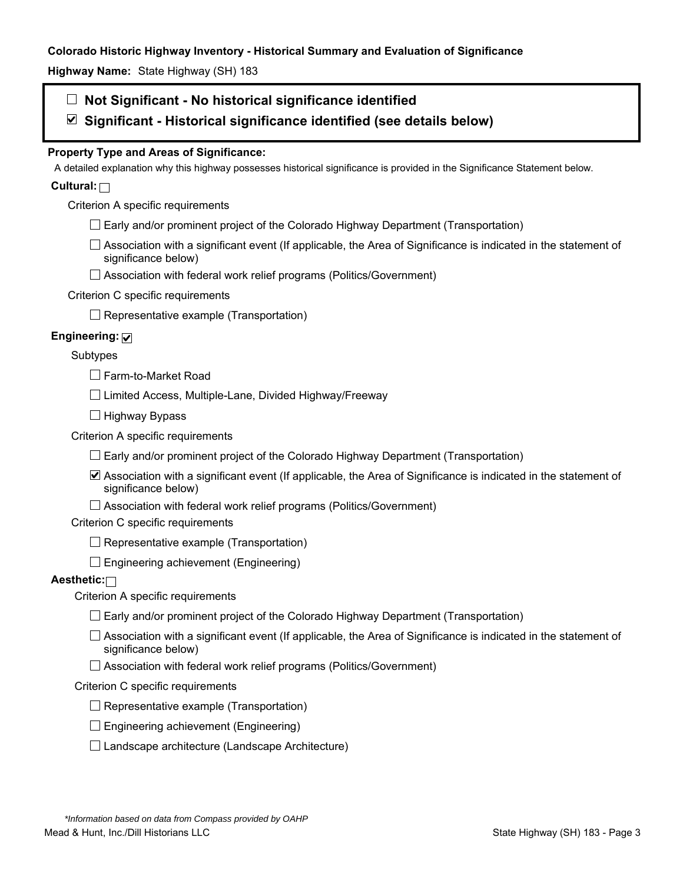**Highway Name:** State Highway (SH) 183

# **Not Significant - No historical significance identified**

# **Significant - Historical significance identified (see details below)**

# **Property Type and Areas of Significance:**

A detailed explanation why this highway possesses historical significance is provided in the Significance Statement below.

# **Cultural:**

Criterion A specific requirements

 $\Box$  Early and/or prominent project of the Colorado Highway Department (Transportation)

 $\Box$  Association with a significant event (If applicable, the Area of Significance is indicated in the statement of significance below)

□ Association with federal work relief programs (Politics/Government)

## Criterion C specific requirements

 $\Box$  Representative example (Transportation)

# **Engineering:**

## Subtypes

□ Farm-to-Market Road

 $\Box$  Limited Access, Multiple-Lane, Divided Highway/Freeway

 $\Box$  Highway Bypass

Criterion A specific requirements

 $\Box$  Early and/or prominent project of the Colorado Highway Department (Transportation)

Association with a significant event (If applicable, the Area of Significance is indicated in the statement of significance below)

 $\Box$  Association with federal work relief programs (Politics/Government)

Criterion C specific requirements

 $\Box$  Representative example (Transportation)

 $\Box$  Engineering achievement (Engineering)

# **Aesthetic:**

Criterion A specific requirements

- $\Box$  Early and/or prominent project of the Colorado Highway Department (Transportation)
- $\Box$  Association with a significant event (If applicable, the Area of Significance is indicated in the statement of significance below)
- $\Box$  Association with federal work relief programs (Politics/Government)

#### Criterion C specific requirements

- $\Box$  Representative example (Transportation)
- $\square$  Engineering achievement (Engineering)
- $\square$  Landscape architecture (Landscape Architecture)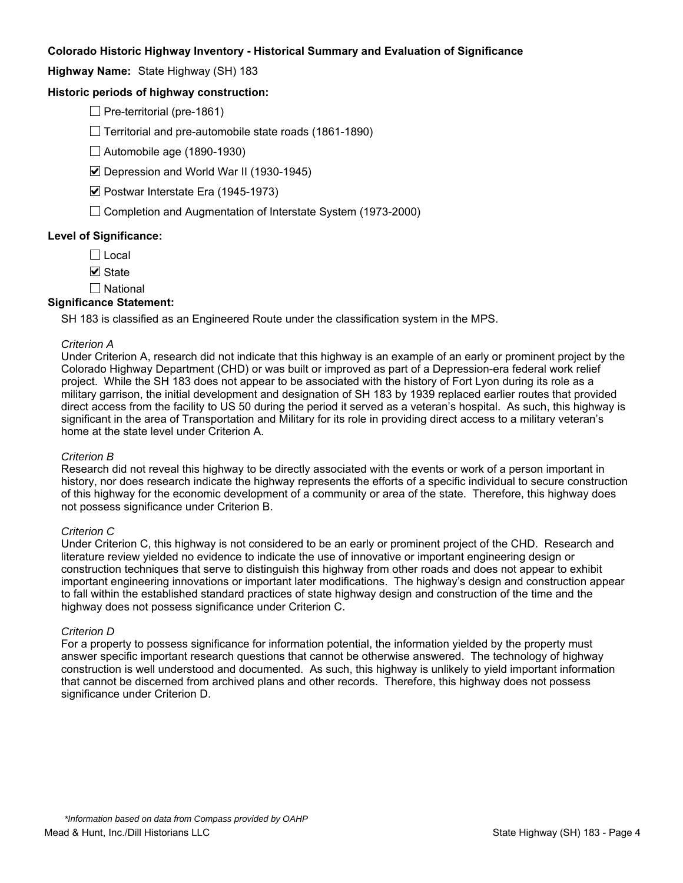**Highway Name:** State Highway (SH) 183

## **Historic periods of highway construction:**

 $\Box$  Pre-territorial (pre-1861)

 $\Box$  Territorial and pre-automobile state roads (1861-1890)

 $\Box$  Automobile age (1890-1930)

■ Depression and World War II (1930-1945)

■ Postwar Interstate Era (1945-1973)

 $\Box$  Completion and Augmentation of Interstate System (1973-2000)

## **Level of Significance:**

 $\Box$  Local

 $\nabla$  State

 $\square$  National

#### **Significance Statement:**

SH 183 is classified as an Engineered Route under the classification system in the MPS.

#### *Criterion A*

Under Criterion A, research did not indicate that this highway is an example of an early or prominent project by the Colorado Highway Department (CHD) or was built or improved as part of a Depression-era federal work relief project. While the SH 183 does not appear to be associated with the history of Fort Lyon during its role as a military garrison, the initial development and designation of SH 183 by 1939 replaced earlier routes that provided direct access from the facility to US 50 during the period it served as a veteran's hospital. As such, this highway is significant in the area of Transportation and Military for its role in providing direct access to a military veteran's home at the state level under Criterion A.

#### *Criterion B*

Research did not reveal this highway to be directly associated with the events or work of a person important in history, nor does research indicate the highway represents the efforts of a specific individual to secure construction of this highway for the economic development of a community or area of the state. Therefore, this highway does not possess significance under Criterion B.

#### *Criterion C*

Under Criterion C, this highway is not considered to be an early or prominent project of the CHD. Research and literature review yielded no evidence to indicate the use of innovative or important engineering design or construction techniques that serve to distinguish this highway from other roads and does not appear to exhibit important engineering innovations or important later modifications. The highway's design and construction appear to fall within the established standard practices of state highway design and construction of the time and the highway does not possess significance under Criterion C.

#### *Criterion D*

For a property to possess significance for information potential, the information yielded by the property must answer specific important research questions that cannot be otherwise answered. The technology of highway construction is well understood and documented. As such, this highway is unlikely to yield important information that cannot be discerned from archived plans and other records. Therefore, this highway does not possess significance under Criterion D.